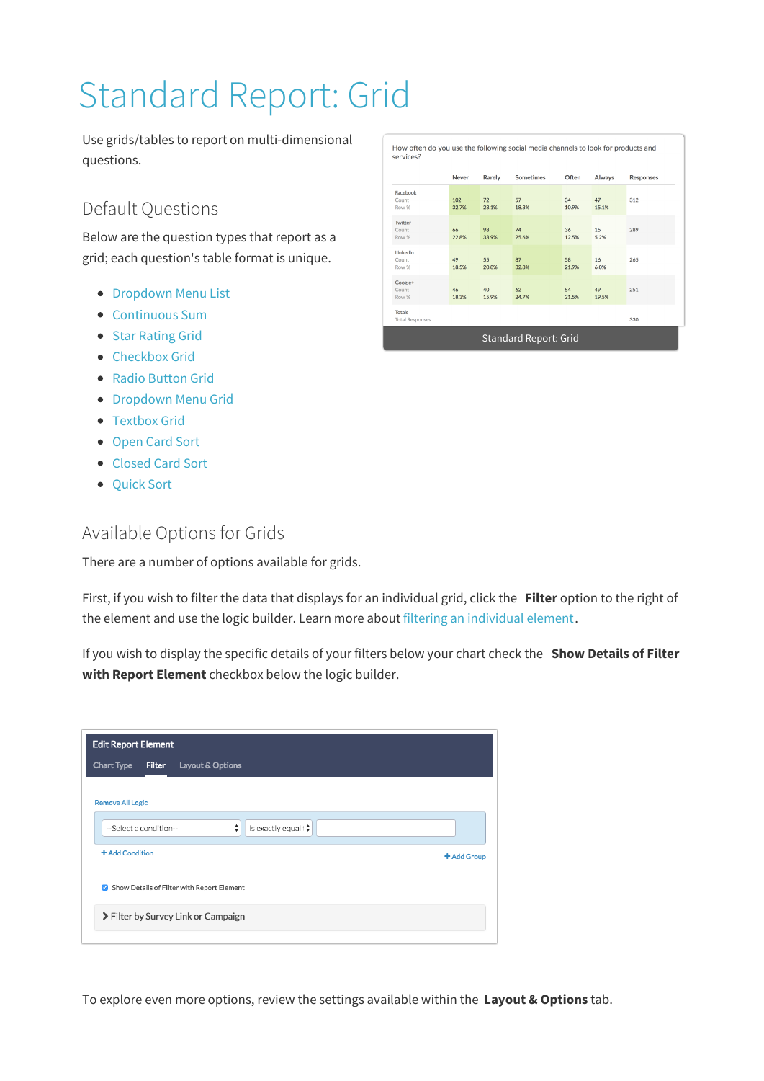# Standard Report: Grid

Use grids/tables to report on multi-dimensional questions.

## Default Questions

Below are the question types that report as a grid; each question's table format is unique.

- **Dropdown Menu List**
- Continuous Sum
- Star Rating Grid
- Checkbox Grid
- Radio Button Grid
- **Dropdown Menu Grid**
- Textbox Grid
- Open Card Sort
- Closed Card Sort
- Quick Sort

### Available Options for Grids

There are a number of options available for grids.

First, if you wish to filter the data that displays for an individual grid, click the **Filter** option to the right of the element and use the logic builder. Learn more about filtering an individual element.

If you wish to display the specific details of your filters below your chart check the **Show Details of Filter with Report Element** checkbox below the logic builder.

| +Add Group |
|------------|
|            |
|            |
|            |
|            |

How often do you use the following social media channels to look for products and

| services?                               |              |             |                  |             |             |                  |  |
|-----------------------------------------|--------------|-------------|------------------|-------------|-------------|------------------|--|
|                                         | <b>Never</b> | Rarely      | <b>Sometimes</b> | Often       | Always      | <b>Responses</b> |  |
| Facebook<br>Count<br>Row %              | 102<br>32.7% | 72<br>23.1% | 57<br>18.3%      | 34<br>10.9% | 47<br>15.1% | 312              |  |
| Twitter<br>Count<br>Row %               | 66<br>22.8%  | 98<br>33.9% | 74<br>25.6%      | 36<br>12.5% | 15<br>5.2%  | 289              |  |
| Linkedin<br>Count<br>Row %              | 49<br>18.5%  | 55<br>20.8% | 87<br>32.8%      | 58<br>21.9% | 16<br>6.0%  | 265              |  |
| Google+<br>Count<br>Row %               | 46<br>18.3%  | 40<br>15.9% | 62<br>24.7%      | 54<br>21.5% | 49<br>19.5% | 251              |  |
| <b>Totals</b><br><b>Total Responses</b> |              |             |                  |             |             | 330              |  |
| <b>Standard Report: Grid</b>            |              |             |                  |             |             |                  |  |

To explore even more options, review the settings available within the **Layout & Options** tab.